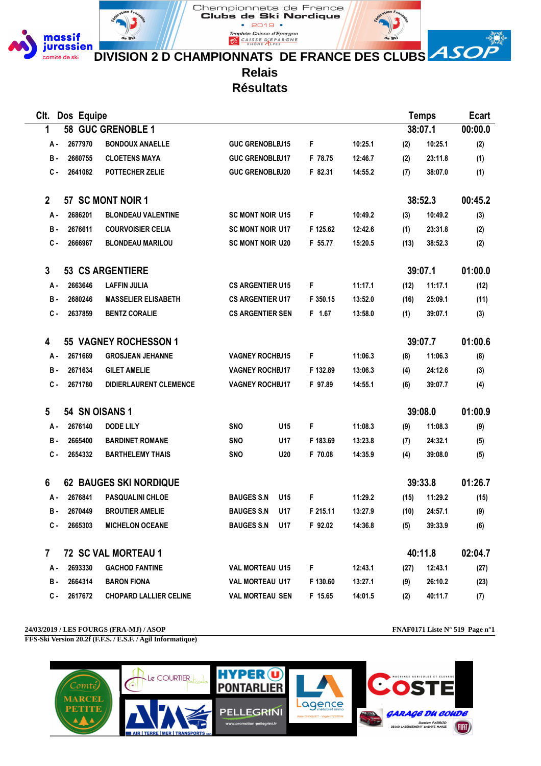

 $\bullet$  2019  $\bullet$ Trophée Caisse d'Epargne **EXPARGALIST CALSE DEPARGNE** 

Championnats de France Clubs de Ski Nordique

**DIVISION 2 D CHAMPIONNATS DE FRANCE DES CLUBS** 

**Relais**

**Résultats**

| Clt.         | Dos Equipe     |                               |                         |            |          |         |      | <b>Temps</b> | <b>Ecart</b> |
|--------------|----------------|-------------------------------|-------------------------|------------|----------|---------|------|--------------|--------------|
| 1            |                | 58 GUC GRENOBLE 1             |                         |            |          |         |      | 38:07.1      | 00:00.0      |
| А -          | 2677970        | <b>BONDOUX ANAELLE</b>        | <b>GUC GRENOBLEU15</b>  |            | F        | 10:25.1 | (2)  | 10:25.1      | (2)          |
| <b>B</b> -   | 2660755        | <b>CLOETENS MAYA</b>          | <b>GUC GRENOBLEU17</b>  |            | F 78.75  | 12:46.7 | (2)  | 23:11.8      | (1)          |
| С.           | 2641082        | POTTECHER ZELIE               | <b>GUC GRENOBLEU20</b>  |            | F 82.31  | 14:55.2 | (7)  | 38:07.0      | (1)          |
| $\mathbf 2$  |                | 57 SC MONT NOIR 1             |                         |            |          |         |      | 38:52.3      | 00:45.2      |
| А -          | 2686201        | <b>BLONDEAU VALENTINE</b>     | <b>SC MONT NOIR U15</b> |            | F        | 10:49.2 | (3)  | 10:49.2      | (3)          |
| в.           | 2676611        | <b>COURVOISIER CELIA</b>      | <b>SC MONT NOIR U17</b> |            | F 125.62 | 12:42.6 | (1)  | 23:31.8      | (2)          |
| С.           | 2666967        | <b>BLONDEAU MARILOU</b>       | <b>SC MONT NOIR U20</b> |            | F 55.77  | 15:20.5 | (13) | 38:52.3      | (2)          |
| 3            |                | <b>53 CS ARGENTIERE</b>       |                         |            |          |         |      | 39:07.1      | 01:00.0      |
| А -          | 2663646        | <b>LAFFIN JULIA</b>           | <b>CS ARGENTIER U15</b> |            | F        | 11:17.1 | (12) | 11:17.1      | (12)         |
| <b>B</b> -   | 2680246        | <b>MASSELIER ELISABETH</b>    | <b>CS ARGENTIER U17</b> |            | F 350.15 | 13:52.0 | (16) | 25:09.1      | (11)         |
| С.           | 2637859        | <b>BENTZ CORALIE</b>          | <b>CS ARGENTIER SEN</b> |            | F 1.67   | 13:58.0 | (1)  | 39:07.1      | (3)          |
| 4            |                | 55 VAGNEY ROCHESSON 1         |                         |            |          |         |      | 39:07.7      | 01:00.6      |
| А-           | 2671669        | <b>GROSJEAN JEHANNE</b>       | <b>VAGNEY ROCHEU15</b>  |            | F        | 11:06.3 | (8)  | 11:06.3      | (8)          |
| <b>B</b> -   | 2671634        | <b>GILET AMELIE</b>           | <b>VAGNEY ROCHEU17</b>  |            | F 132.89 | 13:06.3 | (4)  | 24:12.6      | (3)          |
| $c -$        | 2671780        | <b>DIDIERLAURENT CLEMENCE</b> | <b>VAGNEY ROCHEU17</b>  |            | F 97.89  | 14:55.1 | (6)  | 39:07.7      | (4)          |
| 5            | 54 SN OISANS 1 |                               |                         |            |          |         |      | 39:08.0      | 01:00.9      |
| А -          | 2676140        | <b>DODE LILY</b>              | <b>SNO</b>              | U15        | F        | 11:08.3 | (9)  | 11:08.3      | (9)          |
| <b>B</b> -   | 2665400        | <b>BARDINET ROMANE</b>        | <b>SNO</b>              | U17        | F 183.69 | 13:23.8 | (7)  | 24:32.1      | (5)          |
| $c -$        | 2654332        | <b>BARTHELEMY THAIS</b>       | <b>SNO</b>              | <b>U20</b> | F 70.08  | 14:35.9 | (4)  | 39:08.0      | (5)          |
| 6            |                | <b>62 BAUGES SKI NORDIQUE</b> |                         |            |          |         |      | 39:33.8      | 01:26.7      |
| А -          | 2676841        | <b>PASQUALINI CHLOE</b>       | <b>BAUGES S.N</b>       | U15        | F        | 11:29.2 | (15) | 11:29.2      | (15)         |
| в.           | 2670449        | <b>BROUTIER AMELIE</b>        | <b>BAUGES S.N</b>       | U17        | F 215.11 | 13:27.9 | (10) | 24:57.1      | (9)          |
| с.           | 2665303        | <b>MICHELON OCEANE</b>        | <b>BAUGES S.N</b>       | U17        | F 92.02  | 14:36.8 | (5)  | 39:33.9      | (6)          |
| $\mathbf{7}$ |                | 72 SC VAL MORTEAU 1           |                         |            |          |         |      | 40:11.8      | 02:04.7      |
| А.           | 2693330        | <b>GACHOD FANTINE</b>         | <b>VAL MORTEAU U15</b>  |            | F.       | 12:43.1 | (27) | 12:43.1      | (27)         |
| в.           | 2664314        | <b>BARON FIONA</b>            | <b>VAL MORTEAU U17</b>  |            | F 130.60 | 13:27.1 | (9)  | 26:10.2      | (23)         |
| С.           | 2617672        | <b>CHOPARD LALLIER CELINE</b> | <b>VAL MORTEAU SEN</b>  |            | F 15.65  | 14:01.5 | (2)  | 40:11.7      | (7)          |

**24/03/2019 / LES FOURGS (FRA-MJ) / ASOP FNAF0171 Liste N° 519 Page n°1 FFS-Ski Version 20.2f (F.F.S. / E.S.F. / Agil Informatique)**

(HH)

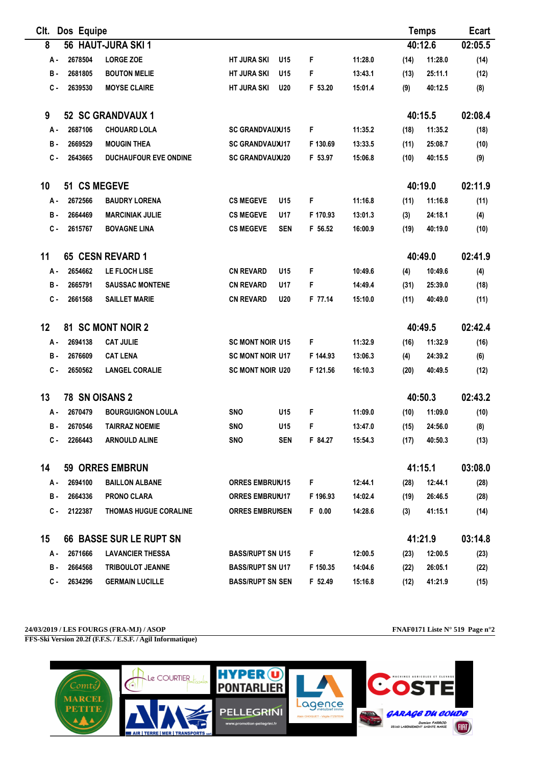| CIt.       | Dos Equipe     |                                |                         |            |          |         |      | <b>Temps</b> | Ecart   |
|------------|----------------|--------------------------------|-------------------------|------------|----------|---------|------|--------------|---------|
| 8          |                | 56 HAUT-JURA SKI 1             |                         |            |          |         |      | 40:12.6      | 02:05.5 |
| А.         | 2678504        | <b>LORGE ZOE</b>               | <b>HT JURA SKI</b>      | U15        | F        | 11:28.0 | (14) | 11:28.0      | (14)    |
| <b>B</b> - | 2681805        | <b>BOUTON MELIE</b>            | <b>HT JURA SKI</b>      | U15        | F        | 13:43.1 | (13) | 25:11.1      | (12)    |
| $c -$      | 2639530        | <b>MOYSE CLAIRE</b>            | <b>HT JURA SKI</b>      | <b>U20</b> | F 53.20  | 15:01.4 | (9)  | 40:12.5      | (8)     |
| 9          |                | 52 SC GRANDVAUX 1              |                         |            |          |         |      | 40:15.5      | 02:08.4 |
| А.         | 2687106        | <b>CHOUARD LOLA</b>            | <b>SC GRANDVAUXU15</b>  |            | F        | 11:35.2 | (18) | 11:35.2      | (18)    |
| в.         | 2669529        | <b>MOUGIN THEA</b>             | <b>SC GRANDVAUXU17</b>  |            | F 130.69 | 13:33.5 | (11) | 25:08.7      | (10)    |
| с.         | 2643665        | <b>DUCHAUFOUR EVE ONDINE</b>   | <b>SC GRANDVAUXU20</b>  |            | F 53.97  | 15:06.8 | (10) | 40:15.5      | (9)     |
| 10         | 51 CS MEGEVE   |                                |                         |            |          |         |      | 40:19.0      | 02:11.9 |
| А.         | 2672566        | <b>BAUDRY LORENA</b>           | <b>CS MEGEVE</b>        | U15        | F        | 11:16.8 | (11) | 11:16.8      | (11)    |
| в.         | 2664469        | <b>MARCINIAK JULIE</b>         | <b>CS MEGEVE</b>        | U17        | F 170.93 | 13:01.3 | (3)  | 24:18.1      | (4)     |
| С.         | 2615767        | <b>BOVAGNE LINA</b>            | <b>CS MEGEVE</b>        | <b>SEN</b> | F 56.52  | 16:00.9 | (19) | 40:19.0      | (10)    |
| 11         |                | 65 CESN REVARD 1               |                         |            |          |         |      | 40:49.0      | 02:41.9 |
| А.         | 2654662        | LE FLOCH LISE                  | <b>CN REVARD</b>        | U15        | F        | 10:49.6 | (4)  | 10:49.6      | (4)     |
| в.         | 2665791        | <b>SAUSSAC MONTENE</b>         | <b>CN REVARD</b>        | U17        | F        | 14:49.4 | (31) | 25:39.0      | (18)    |
| С.         | 2661568        | <b>SAILLET MARIE</b>           | <b>CN REVARD</b>        | <b>U20</b> | F 77.14  | 15:10.0 | (11) | 40:49.0      | (11)    |
| 12         |                | 81 SC MONT NOIR 2              |                         |            |          |         |      | 40:49.5      | 02:42.4 |
| А.         | 2694138        | <b>CAT JULIE</b>               | <b>SC MONT NOIR U15</b> |            | F        | 11:32.9 | (16) | 11:32.9      | (16)    |
| <b>B</b> - | 2676609        | <b>CAT LENA</b>                | <b>SC MONT NOIR U17</b> |            | F 144.93 | 13:06.3 | (4)  | 24:39.2      | (6)     |
| С.         | 2650562        | <b>LANGEL CORALIE</b>          | <b>SC MONT NOIR U20</b> |            | F 121.56 | 16:10.3 | (20) | 40:49.5      | (12)    |
| 13         | 78 SN OISANS 2 |                                |                         |            |          |         |      | 40:50.3      | 02:43.2 |
| А.         | 2670479        | <b>BOURGUIGNON LOULA</b>       | <b>SNO</b>              | U15        | F        | 11:09.0 | (10) | 11:09.0      | (10)    |
| <b>B</b> - | 2670546        | <b>TAIRRAZ NOEMIE</b>          | <b>SNO</b>              | U15        | F        | 13:47.0 | (15) | 24:56.0      | (8)     |
| с.         | 2266443        | <b>ARNOULD ALINE</b>           | <b>SNO</b>              | <b>SEN</b> | F 84.27  | 15:54.3 | (17) | 40:50.3      | (13)    |
| 14         |                | <b>59 ORRES EMBRUN</b>         |                         |            |          |         |      | 41:15.1      | 03:08.0 |
| А -        | 2694100        | <b>BAILLON ALBANE</b>          | <b>ORRES EMBRUNI5</b>   |            | F.       | 12:44.1 | (28) | 12:44.1      | (28)    |
| в.         | 2664336        | <b>PRONO CLARA</b>             | <b>ORRES EMBRUNJ17</b>  |            | F 196.93 | 14:02.4 | (19) | 26:46.5      | (28)    |
| С.         | 2122387        | <b>THOMAS HUGUE CORALINE</b>   | <b>ORRES EMBRUNSEN</b>  |            | $F$ 0.00 | 14:28.6 | (3)  | 41:15.1      | (14)    |
| 15         |                | <b>66 BASSE SUR LE RUPT SN</b> |                         |            |          |         |      | 41:21.9      | 03:14.8 |
| А -        | 2671666        | <b>LAVANCIER THESSA</b>        | <b>BASS/RUPT SN U15</b> |            | F.       | 12:00.5 | (23) | 12:00.5      | (23)    |
| в.         | 2664568        | <b>TRIBOULOT JEANNE</b>        | <b>BASS/RUPT SN U17</b> |            | F 150.35 | 14:04.6 | (22) | 26:05.1      | (22)    |
| c -        | 2634296        | <b>GERMAIN LUCILLE</b>         | <b>BASS/RUPT SN SEN</b> |            | F 52.49  | 15:16.8 | (12) | 41:21.9      | (15)    |

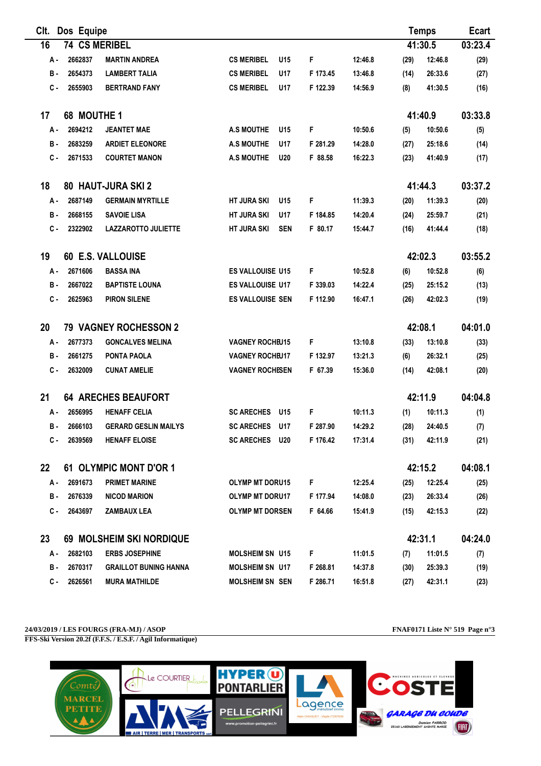| Clt.                           | Dos Equipe           |                              |                         |            |          | <b>Temps</b> |      | <b>Ecart</b> |         |
|--------------------------------|----------------------|------------------------------|-------------------------|------------|----------|--------------|------|--------------|---------|
| 16                             | <b>74 CS MERIBEL</b> |                              |                         |            |          |              |      | 41:30.5      | 03:23.4 |
| А.                             | 2662837              | <b>MARTIN ANDREA</b>         | <b>CS MERIBEL</b>       | U15        | F        | 12:46.8      | (29) | 12:46.8      | (29)    |
| в.                             | 2654373              | <b>LAMBERT TALIA</b>         | <b>CS MERIBEL</b>       | U17        | F 173.45 | 13:46.8      | (14) | 26:33.6      | (27)    |
| c.                             | 2655903              | <b>BERTRAND FANY</b>         | <b>CS MERIBEL</b>       | U17        | F 122.39 | 14:56.9      | (8)  | 41:30.5      | (16)    |
| 17                             | 68 MOUTHE 1          |                              |                         |            |          |              |      | 41:40.9      | 03:33.8 |
| А.                             | 2694212              | <b>JEANTET MAE</b>           | <b>A.S MOUTHE</b>       | U15        | F        | 10:50.6      | (5)  | 10:50.6      | (5)     |
| в.                             | 2683259              | <b>ARDIET ELEONORE</b>       | <b>A.S MOUTHE</b>       | U17        | F 281.29 | 14:28.0      | (27) | 25:18.6      | (14)    |
| с.                             | 2671533              | <b>COURTET MANON</b>         | <b>A.S MOUTHE</b>       | <b>U20</b> | F 88.58  | 16:22.3      | (23) | 41:40.9      | (17)    |
| 18                             |                      | 80 HAUT-JURA SKI 2           |                         |            |          |              |      | 41:44.3      | 03:37.2 |
| А.                             | 2687149              | <b>GERMAIN MYRTILLE</b>      | <b>HT JURA SKI</b>      | U15        | F        | 11:39.3      | (20) | 11:39.3      | (20)    |
| в.                             | 2668155              | <b>SAVOIE LISA</b>           | <b>HT JURA SKI</b>      | U17        | F 184.85 | 14:20.4      | (24) | 25:59.7      | (21)    |
| с.                             | 2322902              | <b>LAZZAROTTO JULIETTE</b>   | <b>HT JURA SKI</b>      | <b>SEN</b> | F 80.17  | 15:44.7      | (16) | 41:44.4      | (18)    |
| 19                             |                      | <b>60 E.S. VALLOUISE</b>     |                         |            |          |              |      | 42:02.3      | 03:55.2 |
| А-                             | 2671606              | <b>BASSA INA</b>             | ES VALLOUISE U15        |            | F        | 10:52.8      | (6)  | 10:52.8      | (6)     |
| в.                             | 2667022              | <b>BAPTISTE LOUNA</b>        | <b>ES VALLOUISE U17</b> |            | F 339.03 | 14:22.4      | (25) | 25:15.2      | (13)    |
| с.                             | 2625963              | <b>PIRON SILENE</b>          | ES VALLOUISE SEN        |            | F 112.90 | 16:47.1      | (26) | 42:02.3      | (19)    |
| 20                             |                      | <b>79 VAGNEY ROCHESSON 2</b> |                         |            |          |              |      | 42:08.1      | 04:01.0 |
| А.                             | 2677373              | <b>GONCALVES MELINA</b>      | <b>VAGNEY ROCHEU15</b>  |            | F        | 13:10.8      | (33) | 13:10.8      | (33)    |
| в.                             | 2661275              | PONTA PAOLA                  | <b>VAGNEY ROCHEU17</b>  |            | F 132.97 | 13:21.3      | (6)  | 26:32.1      | (25)    |
| $c -$                          | 2632009              | <b>CUNAT AMELIE</b>          | <b>VAGNEY ROCHESEN</b>  |            | F 67.39  | 15:36.0      | (14) | 42:08.1      | (20)    |
| 21                             |                      | <b>64 ARECHES BEAUFORT</b>   |                         |            |          |              |      | 42:11.9      | 04:04.8 |
| А.                             | 2656995              | <b>HENAFF CELIA</b>          | <b>SC ARECHES</b>       | U15        | F        | 10:11.3      | (1)  | 10:11.3      | (1)     |
| в.                             | 2666103              | <b>GERARD GESLIN MAILYS</b>  | <b>SC ARECHES</b>       | U17        | F 287.90 | 14:29.2      | (28) | 24:40.5      | (7)     |
| с.                             | 2639569              | <b>HENAFF ELOISE</b>         | <b>SC ARECHES U20</b>   |            | F 176.42 | 17:31.4      | (31) | 42:11.9      | (21)    |
| 22                             |                      | 61 OLYMPIC MONT D'OR 1       |                         |            |          |              |      | 42:15.2      | 04:08.1 |
| А.                             | 2691673              | <b>PRIMET MARINE</b>         | <b>OLYMP MT DORU15</b>  |            | F        | 12:25.4      | (25) | 12:25.4      | (25)    |
| в.                             | 2676339              | <b>NICOD MARION</b>          | <b>OLYMP MT DORU17</b>  |            | F 177.94 | 14:08.0      | (23) | 26:33.4      | (26)    |
| С.                             | 2643697              | <b>ZAMBAUX LEA</b>           | <b>OLYMP MT DORSEN</b>  |            | F 64.66  | 15:41.9      | (15) | 42:15.3      | (22)    |
| 69 MOLSHEIM SKI NORDIQUE<br>23 |                      |                              |                         |            | 42:31.1  | 04:24.0      |      |              |         |
| А -                            | 2682103              | <b>ERBS JOSEPHINE</b>        | MOLSHEIM SN U15         |            | F.       | 11:01.5      | (7)  | 11:01.5      | (7)     |
| в.                             | 2670317              | <b>GRAILLOT BUNING HANNA</b> | <b>MOLSHEIM SN U17</b>  |            | F 268.81 | 14:37.8      | (30) | 25:39.3      | (19)    |
| С.                             | 2626561              | <b>MURA MATHILDE</b>         | <b>MOLSHEIM SN SEN</b>  |            | F 286.71 | 16:51.8      | (27) | 42:31.1      | (23)    |

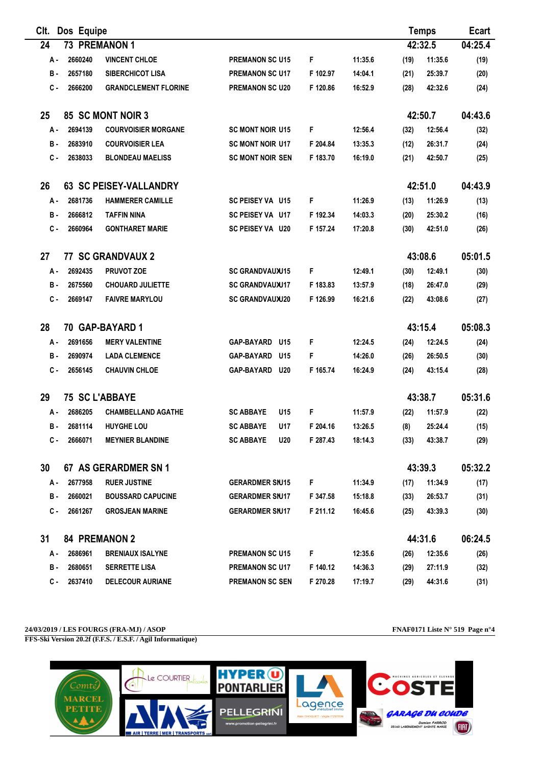| CIt.  | Dos Equipe |                               |                          |          |         |      | <b>Temps</b> | <b>Ecart</b> |
|-------|------------|-------------------------------|--------------------------|----------|---------|------|--------------|--------------|
| 24    |            | 73 PREMANON 1                 |                          |          |         |      | 42:32.5      | 04:25.4      |
| А.    | 2660240    | <b>VINCENT CHLOE</b>          | <b>PREMANON SC U15</b>   | F        | 11:35.6 | (19) | 11:35.6      | (19)         |
| в.    | 2657180    | <b>SIBERCHICOT LISA</b>       | <b>PREMANON SC U17</b>   | F 102.97 | 14:04.1 | (21) | 25:39.7      | (20)         |
| с.    | 2666200    | <b>GRANDCLEMENT FLORINE</b>   | <b>PREMANON SC U20</b>   | F 120.86 | 16:52.9 | (28) | 42:32.6      | (24)         |
| 25    |            | 85 SC MONT NOIR 3             |                          |          |         |      | 42:50.7      | 04:43.6      |
| А.    | 2694139    | <b>COURVOISIER MORGANE</b>    | <b>SC MONT NOIR U15</b>  | F        | 12:56.4 | (32) | 12:56.4      | (32)         |
| в.    | 2683910    | <b>COURVOISIER LEA</b>        | <b>SC MONT NOIR U17</b>  | F 204.84 | 13:35.3 | (12) | 26:31.7      | (24)         |
| $c -$ | 2638033    | <b>BLONDEAU MAELISS</b>       | <b>SC MONT NOIR SEN</b>  | F 183.70 | 16:19.0 | (21) | 42:50.7      | (25)         |
| 26    |            | <b>63 SC PEISEY-VALLANDRY</b> |                          |          |         |      | 42:51.0      | 04:43.9      |
| А.    | 2681736    | <b>HAMMERER CAMILLE</b>       | SC PEISEY VA U15         | F        | 11:26.9 | (13) | 11:26.9      | (13)         |
| в.    | 2666812    | <b>TAFFIN NINA</b>            | SC PEISEY VA U17         | F 192.34 | 14:03.3 | (20) | 25:30.2      | (16)         |
| с.    | 2660964    | <b>GONTHARET MARIE</b>        | <b>SC PEISEY VA U20</b>  | F 157.24 | 17:20.8 | (30) | 42:51.0      | (26)         |
| 27    |            | <b>77 SC GRANDVAUX 2</b>      |                          |          |         |      | 43:08.6      | 05:01.5      |
| А-    | 2692435    | <b>PRUVOT ZOE</b>             | <b>SC GRANDVAUXU15</b>   | F        | 12:49.1 | (30) | 12:49.1      | (30)         |
| в.    | 2675560    | <b>CHOUARD JULIETTE</b>       | <b>SC GRANDVAUXU17</b>   | F 183.83 | 13:57.9 | (18) | 26:47.0      | (29)         |
| c.    | 2669147    | <b>FAIVRE MARYLOU</b>         | <b>SC GRANDVAUXU20</b>   | F 126.99 | 16:21.6 | (22) | 43:08.6      | (27)         |
| 28    |            | 70 GAP-BAYARD 1               |                          |          |         |      | 43:15.4      | 05:08.3      |
| А.    | 2691656    | <b>MERY VALENTINE</b>         | <b>GAP-BAYARD</b><br>U15 | F        | 12:24.5 | (24) | 12:24.5      | (24)         |
| в.    | 2690974    | <b>LADA CLEMENCE</b>          | <b>GAP-BAYARD</b><br>U15 | F        | 14:26.0 | (26) | 26:50.5      | (30)         |
| с.    | 2656145    | <b>CHAUVIN CHLOE</b>          | GAP-BAYARD U20           | F 165.74 | 16:24.9 | (24) | 43:15.4      | (28)         |
| 29    |            | <b>75 SC L'ABBAYE</b>         |                          |          |         |      | 43:38.7      | 05:31.6      |
| А.    | 2686205    | <b>CHAMBELLAND AGATHE</b>     | <b>SC ABBAYE</b><br>U15  | F        | 11:57.9 | (22) | 11:57.9      | (22)         |
| в.    | 2681114    | <b>HUYGHE LOU</b>             | <b>SC ABBAYE</b><br>U17  | F 204.16 | 13:26.5 | (8)  | 25:24.4      | (15)         |
| с.    | 2666071    | <b>MEYNIER BLANDINE</b>       | <b>SC ABBAYE</b><br>U20  | F 287.43 | 18:14.3 | (33) | 43:38.7      | (29)         |
| 30    |            | 67 AS GERARDMER SN 1          |                          |          |         |      | 43:39.3      | 05:32.2      |
| А -   | 2677958    | <b>RUER JUSTINE</b>           | <b>GERARDMER SNJ15</b>   | F        | 11:34.9 | (17) | 11:34.9      | (17)         |
| в.    | 2660021    | <b>BOUSSARD CAPUCINE</b>      | <b>GERARDMER SNJ17</b>   | F 347.58 | 15:18.8 | (33) | 26:53.7      | (31)         |
| С.    | 2661267    | <b>GROSJEAN MARINE</b>        | <b>GERARDMER SNJ17</b>   | F 211.12 | 16:45.6 | (25) | 43:39.3      | (30)         |
| 31    |            | <b>84 PREMANON 2</b>          |                          |          |         |      | 44:31.6      | 06:24.5      |
| А -   | 2686961    | <b>BRENIAUX ISALYNE</b>       | <b>PREMANON SC U15</b>   | F        | 12:35.6 | (26) | 12:35.6      | (26)         |
| в.    | 2680651    | <b>SERRETTE LISA</b>          | <b>PREMANON SC U17</b>   | F 140.12 | 14:36.3 | (29) | 27:11.9      | (32)         |
| С.    | 2637410    | <b>DELECOUR AURIANE</b>       | <b>PREMANON SC SEN</b>   | F 270.28 | 17:19.7 | (29) | 44:31.6      | (31)         |

## **24/03/2019 / LES FOURGS (FRA-MJ) / ASOP FNAF0171 Liste N° 519 Page n°4**

**FFS-Ski Version 20.2f (F.F.S. / E.S.F. / Agil Informatique)**